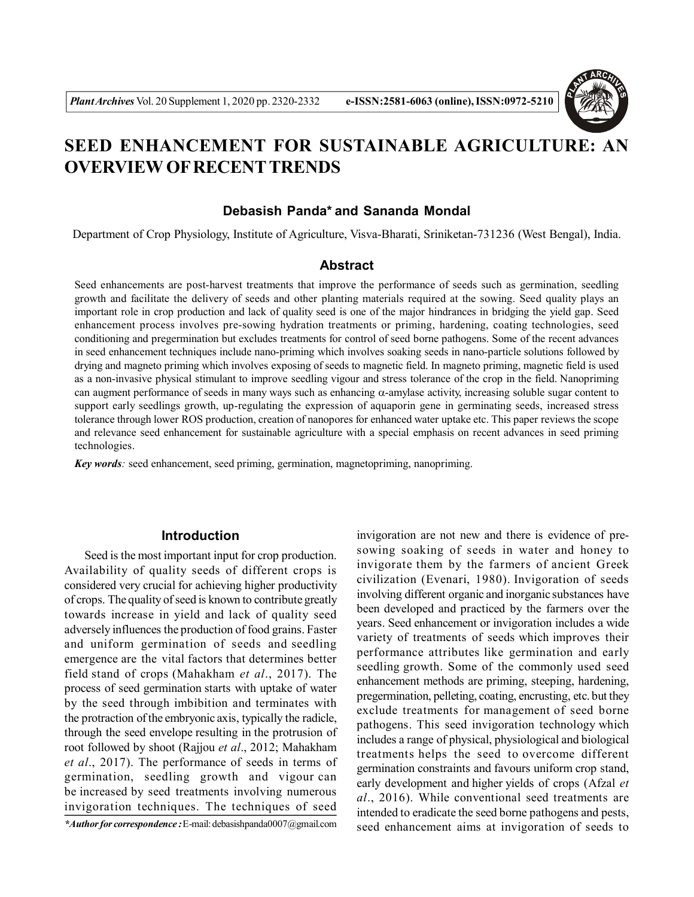

# **SEED ENHANCEMENT FOR SUSTAINABLE AGRICULTURE: AN OVERVIEW OF RECENTTRENDS**

# **Debasish Panda\* and Sananda Mondal**

Department of Crop Physiology, Institute of Agriculture, Visva-Bharati, Sriniketan-731236 (West Bengal), India.

## **Abstract**

Seed enhancements are post-harvest treatments that improve the performance of seeds such as germination, seedling growth and facilitate the delivery of seeds and other planting materials required at the sowing. Seed quality plays an important role in crop production and lack of quality seed is one of the major hindrances in bridging the yield gap. Seed enhancement process involves pre-sowing hydration treatments or priming, hardening, coating technologies, seed conditioning and pregermination but excludes treatments for control of seed borne pathogens. Some of the recent advances in seed enhancement techniques include nano-priming which involves soaking seeds in nano-particle solutions followed by drying and magneto priming which involves exposing of seeds to magnetic field. In magneto priming, magnetic field is used as a non-invasive physical stimulant to improve seedling vigour and stress tolerance of the crop in the field. Nanopriming can augment performance of seeds in many ways such as enhancing  $\alpha$ -amylase activity, increasing soluble sugar content to support early seedlings growth, up-regulating the expression of aquaporin gene in germinating seeds, increased stress tolerance through lower ROS production, creation of nanopores for enhanced water uptake etc. This paper reviews the scope and relevance seed enhancement for sustainable agriculture with a special emphasis on recent advances in seed priming technologies.

*Key words:* seed enhancement, seed priming, germination, magnetopriming, nanopriming.

# **Introduction**

Seed is the most important input for crop production. Availability of quality seeds of different crops is considered very crucial for achieving higher productivity of crops. The quality of seed is known to contribute greatly towards increase in yield and lack of quality seed adversely influences the production of food grains. Faster and uniform germination of seeds and seedling emergence are the vital factors that determines better field stand of crops (Mahakham *et al*., 2017). The process of seed germination starts with uptake of water by the seed through imbibition and terminates with the protraction of the embryonic axis, typically the radicle, through the seed envelope resulting in the protrusion of root followed by shoot (Rajjou *et al*., 2012; Mahakham *et al*., 2017). The performance of seeds in terms of germination, seedling growth and vigour can be increased by seed treatments involving numerous invigoration techniques. The techniques of seed

*\*Author for correspondence :* E-mail: debasishpanda0007@gmail.com

invigoration are not new and there is evidence of presowing soaking of seeds in water and honey to invigorate them by the farmers of ancient Greek civilization (Evenari, 1980). Invigoration of seeds involving different organic and inorganic substances have been developed and practiced by the farmers over the years. Seed enhancement or invigoration includes a wide variety of treatments of seeds which improves their performance attributes like germination and early seedling growth. Some of the commonly used seed enhancement methods are priming, steeping, hardening, pregermination, pelleting, coating, encrusting, etc. but they exclude treatments for management of seed borne pathogens. This seed invigoration technology which includes a range of physical, physiological and biological treatments helps the seed to overcome different germination constraints and favours uniform crop stand, early development and higher yields of crops (Afzal *et al*., 2016). While conventional seed treatments are intended to eradicate the seed borne pathogens and pests, seed enhancement aims at invigoration of seeds to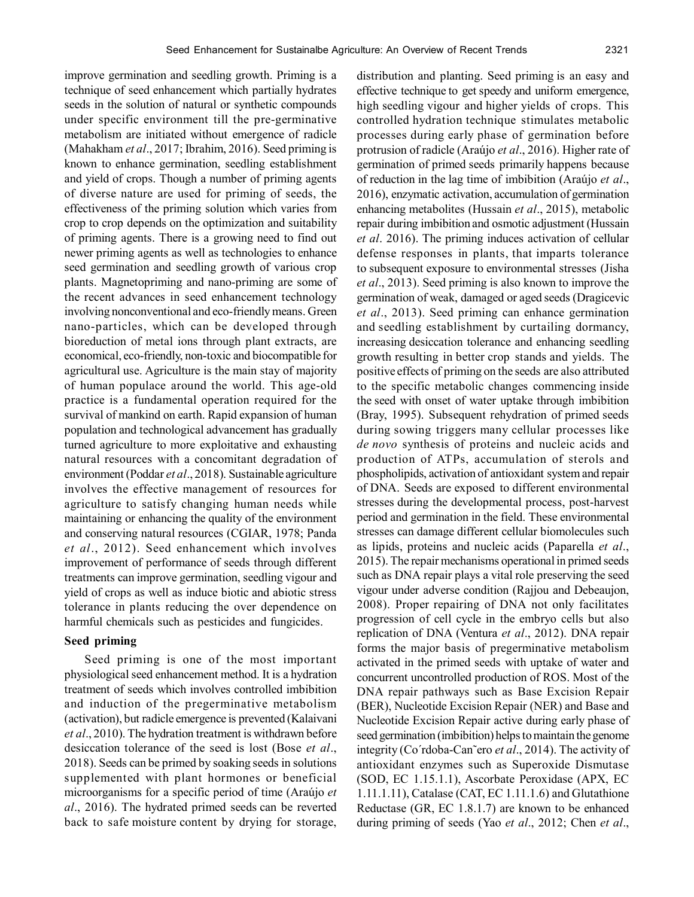improve germination and seedling growth. Priming is a technique of seed enhancement which partially hydrates seeds in the solution of natural or synthetic compounds under specific environment till the pre-germinative metabolism are initiated without emergence of radicle (Mahakham *et al*., 2017; Ibrahim, 2016). Seed priming is known to enhance germination, seedling establishment and yield of crops. Though a number of priming agents of diverse nature are used for priming of seeds, the effectiveness of the priming solution which varies from crop to crop depends on the optimization and suitability of priming agents. There is a growing need to find out newer priming agents as well as technologies to enhance seed germination and seedling growth of various crop plants. Magnetopriming and nano-priming are some of the recent advances in seed enhancement technology involving nonconventional and eco-friendly means. Green nano-particles, which can be developed through bioreduction of metal ions through plant extracts, are economical, eco-friendly, non-toxic and biocompatible for agricultural use. Agriculture is the main stay of majority of human populace around the world. This age-old practice is a fundamental operation required for the survival of mankind on earth. Rapid expansion of human population and technological advancement has gradually turned agriculture to more exploitative and exhausting natural resources with a concomitant degradation of environment (Poddar *et al*., 2018). Sustainable agriculture involves the effective management of resources for agriculture to satisfy changing human needs while maintaining or enhancing the quality of the environment and conserving natural resources (CGIAR, 1978; Panda *et al*., 2012). Seed enhancement which involves improvement of performance of seeds through different treatments can improve germination, seedling vigour and yield of crops as well as induce biotic and abiotic stress tolerance in plants reducing the over dependence on

## **Seed priming**

Seed priming is one of the most important physiological seed enhancement method. It is a hydration treatment of seeds which involves controlled imbibition and induction of the pregerminative metabolism (activation), but radicle emergence is prevented (Kalaivani *et al*., 2010). The hydration treatment is withdrawn before desiccation tolerance of the seed is lost (Bose *et al*., 2018). Seeds can be primed by soaking seeds in solutions supplemented with plant hormones or beneficial microorganisms for a specific period of time (Araújo *et al*., 2016). The hydrated primed seeds can be reverted back to safe moisture content by drying for storage,

harmful chemicals such as pesticides and fungicides.

distribution and planting. Seed priming is an easy and effective technique to get speedy and uniform emergence, high seedling vigour and higher yields of crops. This controlled hydration technique stimulates metabolic processes during early phase of germination before protrusion of radicle (Araújo *et al*., 2016). Higher rate of germination of primed seeds primarily happens because of reduction in the lag time of imbibition (Araújo *et al*., 2016), enzymatic activation, accumulation of germination enhancing metabolites (Hussain *et al*., 2015), metabolic repair during imbibition and osmotic adjustment (Hussain *et al*. 2016). The priming induces activation of cellular defense responses in plants, that imparts tolerance to subsequent exposure to environmental stresses (Jisha *et al*., 2013). Seed priming is also known to improve the germination of weak, damaged or aged seeds (Dragicevic *et al*., 2013). Seed priming can enhance germination and seedling establishment by curtailing dormancy, increasing desiccation tolerance and enhancing seedling growth resulting in better crop stands and yields. The positive effects of priming on the seeds are also attributed to the specific metabolic changes commencing inside the seed with onset of water uptake through imbibition (Bray, 1995). Subsequent rehydration of primed seeds during sowing triggers many cellular processes like *de novo* synthesis of proteins and nucleic acids and production of ATPs, accumulation of sterols and phospholipids, activation of antioxidant system and repair of DNA. Seeds are exposed to different environmental stresses during the developmental process, post-harvest period and germination in the field. These environmental stresses can damage different cellular biomolecules such as lipids, proteins and nucleic acids (Paparella *et al*., 2015). The repair mechanisms operational in primed seeds such as DNA repair plays a vital role preserving the seed vigour under adverse condition (Rajjou and Debeaujon, 2008). Proper repairing of DNA not only facilitates progression of cell cycle in the embryo cells but also replication of DNA (Ventura *et al*., 2012). DNA repair forms the major basis of pregerminative metabolism activated in the primed seeds with uptake of water and concurrent uncontrolled production of ROS. Most of the DNA repair pathways such as Base Excision Repair (BER), Nucleotide Excision Repair (NER) and Base and Nucleotide Excision Repair active during early phase of seed germination (imbibition) helps to maintain the genome integrity (Co´rdoba-Can˜ero *et al*., 2014). The activity of antioxidant enzymes such as Superoxide Dismutase (SOD, EC 1.15.1.1), Ascorbate Peroxidase (APX, EC 1.11.1.11), Catalase (CAT, EC 1.11.1.6) and Glutathione Reductase (GR, EC 1.8.1.7) are known to be enhanced during priming of seeds (Yao *et al*., 2012; Chen *et al*.,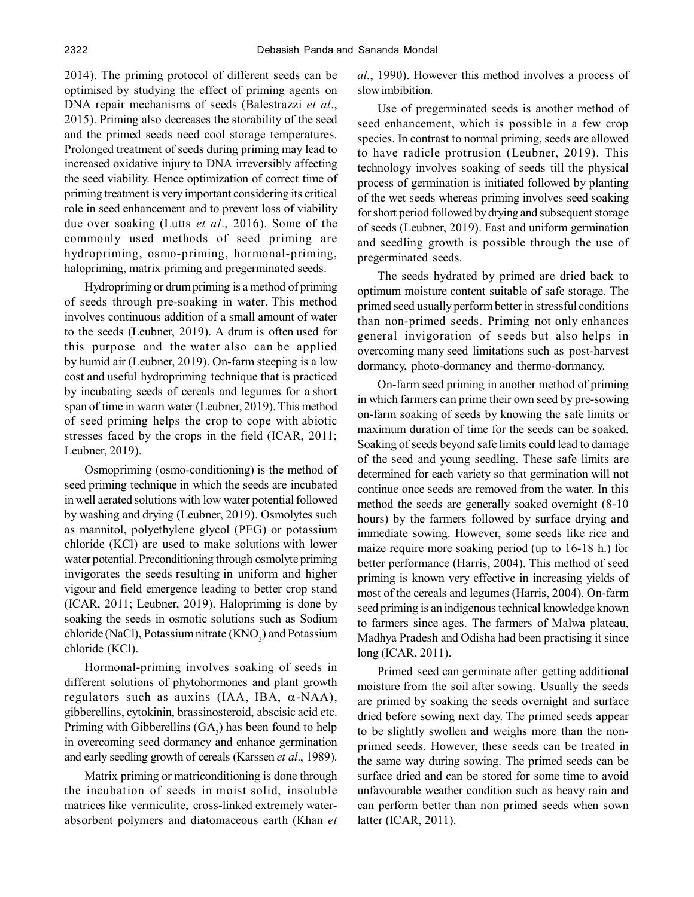2014). The priming protocol of different seeds can be optimised by studying the effect of priming agents on DNA repair mechanisms of seeds (Balestrazzi *et al*., 2015). Priming also decreases the storability of the seed and the primed seeds need cool storage temperatures. Prolonged treatment of seeds during priming may lead to increased oxidative injury to DNA irreversibly affecting the seed viability. Hence optimization of correct time of priming treatment is very important considering its critical role in seed enhancement and to prevent loss of viability due over soaking (Lutts *et al*., 2016). Some of the commonly used methods of seed priming are hydropriming, osmo-priming, hormonal-priming, halopriming, matrix priming and pregerminated seeds.

Hydropriming or drum priming is a method of priming of seeds through pre-soaking in water. This method involves continuous addition of a small amount of water to the seeds (Leubner, 2019). A drum is often used for this purpose and the water also can be applied by humid air (Leubner, 2019). On-farm steeping is a low cost and useful hydropriming technique that is practiced by incubating seeds of cereals and legumes for a short span of time in warm water (Leubner, 2019). This method of seed priming helps the crop to cope with abiotic stresses faced by the crops in the field (ICAR, 2011; Leubner, 2019).

Osmopriming (osmo-conditioning) is the method of seed priming technique in which the seeds are incubated in well aerated solutions with low water potential followed by washing and drying (Leubner, 2019). Osmolytes such as mannitol, polyethylene glycol (PEG) or potassium chloride (KCl) are used to make solutions with lower water potential. Preconditioning through osmolyte priming invigorates the seeds resulting in uniform and higher vigour and field emergence leading to better crop stand (ICAR, 2011; Leubner, 2019). Halopriming is done by soaking the seeds in osmotic solutions such as Sodium chloride (NaCl), Potassium nitrate  $(KNO<sub>3</sub>)$  and Potassium chloride (KCl).

Hormonal-priming involves soaking of seeds in different solutions of phytohormones and plant growth regulators such as auxins (IAA, IBA,  $\alpha$ -NAA), gibberellins, cytokinin, brassinosteroid, abscisic acid etc. Priming with Gibberellins  $(GA_3)$  has been found to help in overcoming seed dormancy and enhance germination and early seedling growth of cereals (Karssen *et al*., 1989).

Matrix priming or matriconditioning is done through the incubation of seeds in moist solid, insoluble matrices like vermiculite, cross-linked extremely waterabsorbent polymers and diatomaceous earth (Khan *et* *al.*, 1990). However this method involves a process of slow imbibition.

Use of pregerminated seeds is another method of seed enhancement, which is possible in a few crop species. In contrast to normal priming, seeds are allowed to have radicle protrusion (Leubner, 2019). This technology involves soaking of seeds till the physical process of germination is initiated followed by planting of the wet seeds whereas priming involves seed soaking for short period followed by drying and subsequent storage of seeds (Leubner, 2019). Fast and uniform germination and seedling growth is possible through the use of pregerminated seeds.

The seeds hydrated by primed are dried back to optimum moisture content suitable of safe storage. The primed seed usually perform better in stressful conditions than non-primed seeds. Priming not only enhances general invigoration of seeds but also helps in overcoming many seed limitations such as post-harvest dormancy, photo-dormancy and thermo-dormancy.

On-farm seed priming in another method of priming in which farmers can prime their own seed by pre-sowing on-farm soaking of seeds by knowing the safe limits or maximum duration of time for the seeds can be soaked. Soaking of seeds beyond safe limits could lead to damage of the seed and young seedling. These safe limits are determined for each variety so that germination will not continue once seeds are removed from the water. In this method the seeds are generally soaked overnight (8-10 hours) by the farmers followed by surface drying and immediate sowing. However, some seeds like rice and maize require more soaking period (up to 16-18 h.) for better performance (Harris, 2004). This method of seed priming is known very effective in increasing yields of most of the cereals and legumes (Harris, 2004). On-farm seed priming is an indigenous technical knowledge known to farmers since ages. The farmers of Malwa plateau, Madhya Pradesh and Odisha had been practising it since long (ICAR, 2011).

Primed seed can germinate after getting additional moisture from the soil after sowing. Usually the seeds are primed by soaking the seeds overnight and surface dried before sowing next day. The primed seeds appear to be slightly swollen and weighs more than the nonprimed seeds. However, these seeds can be treated in the same way during sowing. The primed seeds can be surface dried and can be stored for some time to avoid unfavourable weather condition such as heavy rain and can perform better than non primed seeds when sown latter (ICAR, 2011).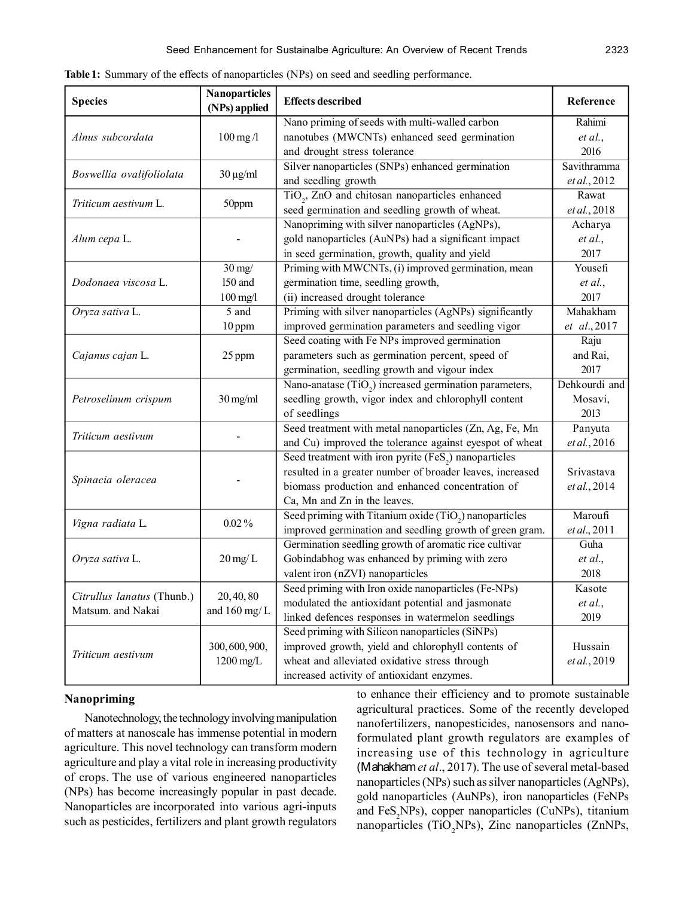| <b>Species</b>                                  | <b>Nanoparticles</b>                                                                                                                        | <b>Effects described</b>                                                                                                                                                                                                                                                                                                                                                                                                                                                                                                                                                                                                                                                                                                                                                                                                                                                                                                                                                                                                                                                                                                                                                                                                                                                                                                                                                                                                         | Reference     |
|-------------------------------------------------|---------------------------------------------------------------------------------------------------------------------------------------------|----------------------------------------------------------------------------------------------------------------------------------------------------------------------------------------------------------------------------------------------------------------------------------------------------------------------------------------------------------------------------------------------------------------------------------------------------------------------------------------------------------------------------------------------------------------------------------------------------------------------------------------------------------------------------------------------------------------------------------------------------------------------------------------------------------------------------------------------------------------------------------------------------------------------------------------------------------------------------------------------------------------------------------------------------------------------------------------------------------------------------------------------------------------------------------------------------------------------------------------------------------------------------------------------------------------------------------------------------------------------------------------------------------------------------------|---------------|
|                                                 |                                                                                                                                             | Nano priming of seeds with multi-walled carbon                                                                                                                                                                                                                                                                                                                                                                                                                                                                                                                                                                                                                                                                                                                                                                                                                                                                                                                                                                                                                                                                                                                                                                                                                                                                                                                                                                                   | Rahimi        |
| Alnus subcordata                                | $100$ mg/l                                                                                                                                  | nanotubes (MWCNTs) enhanced seed germination                                                                                                                                                                                                                                                                                                                                                                                                                                                                                                                                                                                                                                                                                                                                                                                                                                                                                                                                                                                                                                                                                                                                                                                                                                                                                                                                                                                     | et al.,       |
|                                                 |                                                                                                                                             | and drought stress tolerance                                                                                                                                                                                                                                                                                                                                                                                                                                                                                                                                                                                                                                                                                                                                                                                                                                                                                                                                                                                                                                                                                                                                                                                                                                                                                                                                                                                                     | 2016          |
|                                                 |                                                                                                                                             | Silver nanoparticles (SNPs) enhanced germination                                                                                                                                                                                                                                                                                                                                                                                                                                                                                                                                                                                                                                                                                                                                                                                                                                                                                                                                                                                                                                                                                                                                                                                                                                                                                                                                                                                 | Savithramma   |
| Boswellia ovalifoliolata                        |                                                                                                                                             | and seedling growth                                                                                                                                                                                                                                                                                                                                                                                                                                                                                                                                                                                                                                                                                                                                                                                                                                                                                                                                                                                                                                                                                                                                                                                                                                                                                                                                                                                                              | et al., 2012  |
| Triticum aestivum L.                            | 50ppm                                                                                                                                       |                                                                                                                                                                                                                                                                                                                                                                                                                                                                                                                                                                                                                                                                                                                                                                                                                                                                                                                                                                                                                                                                                                                                                                                                                                                                                                                                                                                                                                  | Rawat         |
|                                                 |                                                                                                                                             | seed germination and seedling growth of wheat.                                                                                                                                                                                                                                                                                                                                                                                                                                                                                                                                                                                                                                                                                                                                                                                                                                                                                                                                                                                                                                                                                                                                                                                                                                                                                                                                                                                   | et al., 2018  |
|                                                 |                                                                                                                                             | Nanopriming with silver nanoparticles (AgNPs),                                                                                                                                                                                                                                                                                                                                                                                                                                                                                                                                                                                                                                                                                                                                                                                                                                                                                                                                                                                                                                                                                                                                                                                                                                                                                                                                                                                   | Acharya       |
| Alum cepa L.                                    |                                                                                                                                             | gold nanoparticles (AuNPs) had a significant impact                                                                                                                                                                                                                                                                                                                                                                                                                                                                                                                                                                                                                                                                                                                                                                                                                                                                                                                                                                                                                                                                                                                                                                                                                                                                                                                                                                              | et al.,       |
|                                                 |                                                                                                                                             | in seed germination, growth, quality and yield                                                                                                                                                                                                                                                                                                                                                                                                                                                                                                                                                                                                                                                                                                                                                                                                                                                                                                                                                                                                                                                                                                                                                                                                                                                                                                                                                                                   | 2017          |
|                                                 | $30 \text{ mg}$                                                                                                                             |                                                                                                                                                                                                                                                                                                                                                                                                                                                                                                                                                                                                                                                                                                                                                                                                                                                                                                                                                                                                                                                                                                                                                                                                                                                                                                                                                                                                                                  | Yousefi       |
| Dodonaea viscosa L.                             | 150 and                                                                                                                                     | germination time, seedling growth,                                                                                                                                                                                                                                                                                                                                                                                                                                                                                                                                                                                                                                                                                                                                                                                                                                                                                                                                                                                                                                                                                                                                                                                                                                                                                                                                                                                               | et al.,       |
|                                                 | $100$ mg/l                                                                                                                                  | (ii) increased drought tolerance                                                                                                                                                                                                                                                                                                                                                                                                                                                                                                                                                                                                                                                                                                                                                                                                                                                                                                                                                                                                                                                                                                                                                                                                                                                                                                                                                                                                 | 2017          |
| Oryza sativa L.                                 | 5 and                                                                                                                                       |                                                                                                                                                                                                                                                                                                                                                                                                                                                                                                                                                                                                                                                                                                                                                                                                                                                                                                                                                                                                                                                                                                                                                                                                                                                                                                                                                                                                                                  | Mahakham      |
|                                                 | 10 ppm                                                                                                                                      | improved germination parameters and seedling vigor                                                                                                                                                                                                                                                                                                                                                                                                                                                                                                                                                                                                                                                                                                                                                                                                                                                                                                                                                                                                                                                                                                                                                                                                                                                                                                                                                                               | et al., 2017  |
|                                                 | 25 ppm                                                                                                                                      |                                                                                                                                                                                                                                                                                                                                                                                                                                                                                                                                                                                                                                                                                                                                                                                                                                                                                                                                                                                                                                                                                                                                                                                                                                                                                                                                                                                                                                  | Raju          |
| Cajanus cajan L.                                |                                                                                                                                             | parameters such as germination percent, speed of                                                                                                                                                                                                                                                                                                                                                                                                                                                                                                                                                                                                                                                                                                                                                                                                                                                                                                                                                                                                                                                                                                                                                                                                                                                                                                                                                                                 | and Rai,      |
|                                                 |                                                                                                                                             |                                                                                                                                                                                                                                                                                                                                                                                                                                                                                                                                                                                                                                                                                                                                                                                                                                                                                                                                                                                                                                                                                                                                                                                                                                                                                                                                                                                                                                  | 2017          |
| Petroselinum crispum                            | $30$ mg/ml                                                                                                                                  |                                                                                                                                                                                                                                                                                                                                                                                                                                                                                                                                                                                                                                                                                                                                                                                                                                                                                                                                                                                                                                                                                                                                                                                                                                                                                                                                                                                                                                  | Dehkourdi and |
|                                                 |                                                                                                                                             |                                                                                                                                                                                                                                                                                                                                                                                                                                                                                                                                                                                                                                                                                                                                                                                                                                                                                                                                                                                                                                                                                                                                                                                                                                                                                                                                                                                                                                  | Mosavi,       |
|                                                 |                                                                                                                                             |                                                                                                                                                                                                                                                                                                                                                                                                                                                                                                                                                                                                                                                                                                                                                                                                                                                                                                                                                                                                                                                                                                                                                                                                                                                                                                                                                                                                                                  | 2013          |
| Triticum aestivum                               | (NPs) applied<br>$30 \mu g/ml$<br>$0.02\%$<br>$20 \,\mathrm{mg/L}$<br>20, 40, 80<br>and $160$ mg/L<br>300, 600, 900,<br>$1200 \text{ mg/L}$ |                                                                                                                                                                                                                                                                                                                                                                                                                                                                                                                                                                                                                                                                                                                                                                                                                                                                                                                                                                                                                                                                                                                                                                                                                                                                                                                                                                                                                                  | Panyuta       |
|                                                 |                                                                                                                                             |                                                                                                                                                                                                                                                                                                                                                                                                                                                                                                                                                                                                                                                                                                                                                                                                                                                                                                                                                                                                                                                                                                                                                                                                                                                                                                                                                                                                                                  | et al., 2016  |
|                                                 |                                                                                                                                             |                                                                                                                                                                                                                                                                                                                                                                                                                                                                                                                                                                                                                                                                                                                                                                                                                                                                                                                                                                                                                                                                                                                                                                                                                                                                                                                                                                                                                                  |               |
| Spinacia oleracea                               |                                                                                                                                             |                                                                                                                                                                                                                                                                                                                                                                                                                                                                                                                                                                                                                                                                                                                                                                                                                                                                                                                                                                                                                                                                                                                                                                                                                                                                                                                                                                                                                                  | Srivastava    |
|                                                 |                                                                                                                                             |                                                                                                                                                                                                                                                                                                                                                                                                                                                                                                                                                                                                                                                                                                                                                                                                                                                                                                                                                                                                                                                                                                                                                                                                                                                                                                                                                                                                                                  | et al., 2014  |
|                                                 |                                                                                                                                             | TiO <sub>2</sub> , ZnO and chitosan nanoparticles enhanced<br>Priming with MWCNTs, (i) improved germination, mean<br>Priming with silver nanoparticles (AgNPs) significantly<br>Seed coating with Fe NPs improved germination<br>germination, seedling growth and vigour index<br>Nano-anatase (TiO <sub>2</sub> ) increased germination parameters,<br>seedling growth, vigor index and chlorophyll content<br>of seedlings<br>Seed treatment with metal nanoparticles (Zn, Ag, Fe, Mn<br>and Cu) improved the tolerance against eyespot of wheat<br>Seed treatment with iron pyrite (FeS <sub>2</sub> ) nanoparticles<br>resulted in a greater number of broader leaves, increased<br>biomass production and enhanced concentration of<br>Ca, Mn and Zn in the leaves.<br>Seed priming with Titanium oxide (TiO <sub>2</sub> ) nanoparticles<br>improved germination and seedling growth of green gram.<br>Germination seedling growth of aromatic rice cultivar<br>Gobindabhog was enhanced by priming with zero<br>valent iron (nZVI) nanoparticles<br>Seed priming with Iron oxide nanoparticles (Fe-NPs)<br>modulated the antioxidant potential and jasmonate<br>linked defences responses in watermelon seedlings<br>Seed priming with Silicon nanoparticles (SiNPs)<br>improved growth, yield and chlorophyll contents of<br>wheat and alleviated oxidative stress through<br>increased activity of antioxidant enzymes. |               |
| Vigna radiata L.                                |                                                                                                                                             |                                                                                                                                                                                                                                                                                                                                                                                                                                                                                                                                                                                                                                                                                                                                                                                                                                                                                                                                                                                                                                                                                                                                                                                                                                                                                                                                                                                                                                  | Maroufi       |
|                                                 |                                                                                                                                             |                                                                                                                                                                                                                                                                                                                                                                                                                                                                                                                                                                                                                                                                                                                                                                                                                                                                                                                                                                                                                                                                                                                                                                                                                                                                                                                                                                                                                                  | et al., 2011  |
|                                                 |                                                                                                                                             |                                                                                                                                                                                                                                                                                                                                                                                                                                                                                                                                                                                                                                                                                                                                                                                                                                                                                                                                                                                                                                                                                                                                                                                                                                                                                                                                                                                                                                  | Guha          |
| Oryza sativa L.                                 |                                                                                                                                             |                                                                                                                                                                                                                                                                                                                                                                                                                                                                                                                                                                                                                                                                                                                                                                                                                                                                                                                                                                                                                                                                                                                                                                                                                                                                                                                                                                                                                                  | et al.,       |
|                                                 |                                                                                                                                             |                                                                                                                                                                                                                                                                                                                                                                                                                                                                                                                                                                                                                                                                                                                                                                                                                                                                                                                                                                                                                                                                                                                                                                                                                                                                                                                                                                                                                                  | 2018          |
| Citrullus lanatus (Thunb.)<br>Matsum. and Nakai |                                                                                                                                             |                                                                                                                                                                                                                                                                                                                                                                                                                                                                                                                                                                                                                                                                                                                                                                                                                                                                                                                                                                                                                                                                                                                                                                                                                                                                                                                                                                                                                                  | Kasote        |
|                                                 |                                                                                                                                             |                                                                                                                                                                                                                                                                                                                                                                                                                                                                                                                                                                                                                                                                                                                                                                                                                                                                                                                                                                                                                                                                                                                                                                                                                                                                                                                                                                                                                                  | et al.,       |
|                                                 |                                                                                                                                             |                                                                                                                                                                                                                                                                                                                                                                                                                                                                                                                                                                                                                                                                                                                                                                                                                                                                                                                                                                                                                                                                                                                                                                                                                                                                                                                                                                                                                                  | 2019          |
| Triticum aestivum                               |                                                                                                                                             |                                                                                                                                                                                                                                                                                                                                                                                                                                                                                                                                                                                                                                                                                                                                                                                                                                                                                                                                                                                                                                                                                                                                                                                                                                                                                                                                                                                                                                  |               |
|                                                 |                                                                                                                                             |                                                                                                                                                                                                                                                                                                                                                                                                                                                                                                                                                                                                                                                                                                                                                                                                                                                                                                                                                                                                                                                                                                                                                                                                                                                                                                                                                                                                                                  | Hussain       |
|                                                 |                                                                                                                                             |                                                                                                                                                                                                                                                                                                                                                                                                                                                                                                                                                                                                                                                                                                                                                                                                                                                                                                                                                                                                                                                                                                                                                                                                                                                                                                                                                                                                                                  | et al., 2019  |
|                                                 |                                                                                                                                             |                                                                                                                                                                                                                                                                                                                                                                                                                                                                                                                                                                                                                                                                                                                                                                                                                                                                                                                                                                                                                                                                                                                                                                                                                                                                                                                                                                                                                                  |               |

**Table 1:** Summary of the effects of nanoparticles (NPs) on seed and seedling performance.

# **Nanopriming**

Nanotechnology, the technology involving manipulation of matters at nanoscale has immense potential in modern agriculture. This novel technology can transform modern agriculture and play a vital role in increasing productivity of crops. The use of various engineered nanoparticles (NPs) has become increasingly popular in past decade. Nanoparticles are incorporated into various agri-inputs such as pesticides, fertilizers and plant growth regulators

to enhance their efficiency and to promote sustainable agricultural practices. Some of the recently developed nanofertilizers, nanopesticides, nanosensors and nanoformulated plant growth regulators are examples of increasing use of this technology in agriculture (Mahakham *et al*., 2017). The use of several metal-based nanoparticles (NPs) such as silver nanoparticles (AgNPs), gold nanoparticles (AuNPs), iron nanoparticles (FeNPs and FeS<sub>2</sub>NPs), copper nanoparticles (CuNPs), titanium nanoparticles (TiO<sub>2</sub>NPs), Zinc nanoparticles (ZnNPs,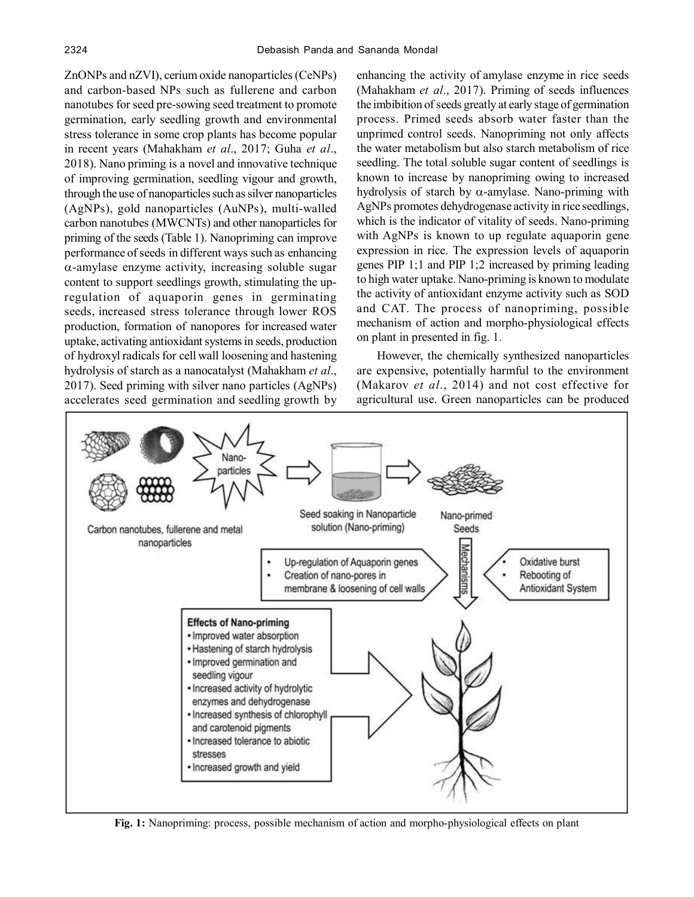ZnONPs and nZVI), cerium oxide nanoparticles (CeNPs) and carbon-based NPs such as fullerene and carbon nanotubes for seed pre-sowing seed treatment to promote germination, early seedling growth and environmental stress tolerance in some crop plants has become popular in recent years (Mahakham *et al*., 2017; Guha *et al*., 2018). Nano priming is a novel and innovative technique of improving germination, seedling vigour and growth, through the use of nanoparticles such as silver nanoparticles (AgNPs), gold nanoparticles (AuNPs), multi-walled carbon nanotubes (MWCNTs) and other nanoparticles for priming of the seeds (Table 1). Nanopriming can improve performance of seeds in different ways such as enhancing  $\alpha$ -amylase enzyme activity, increasing soluble sugar content to support seedlings growth, stimulating the upregulation of aquaporin genes in germinating seeds, increased stress tolerance through lower ROS production, formation of nanopores for increased water uptake, activating antioxidant systems in seeds, production of hydroxyl radicals for cell wall loosening and hastening hydrolysis of starch as a nanocatalyst (Mahakham *et al*., 2017). Seed priming with silver nano particles (AgNPs) accelerates seed germination and seedling growth by

enhancing the activity of amylase enzyme in rice seeds (Mahakham *et al*., 2017). Priming of seeds influences the imbibition of seeds greatly at early stage of germination process. Primed seeds absorb water faster than the unprimed control seeds. Nanopriming not only affects the water metabolism but also starch metabolism of rice seedling. The total soluble sugar content of seedlings is known to increase by nanopriming owing to increased hydrolysis of starch by  $\alpha$ -amylase. Nano-priming with AgNPs promotes dehydrogenase activity in rice seedlings, which is the indicator of vitality of seeds. Nano-priming with AgNPs is known to up regulate aquaporin gene expression in rice. The expression levels of aquaporin genes PIP 1;1 and PIP 1;2 increased by priming leading to high water uptake. Nano-priming is known to modulate the activity of antioxidant enzyme activity such as SOD and CAT. The process of nanopriming, possible mechanism of action and morpho-physiological effects on plant in presented in fig. 1.

However, the chemically synthesized nanoparticles are expensive, potentially harmful to the environment (Makarov *et al*., 2014) and not cost effective for agricultural use. Green nanoparticles can be produced



**Fig. 1:** Nanopriming: process, possible mechanism of action and morpho-physiological effects on plant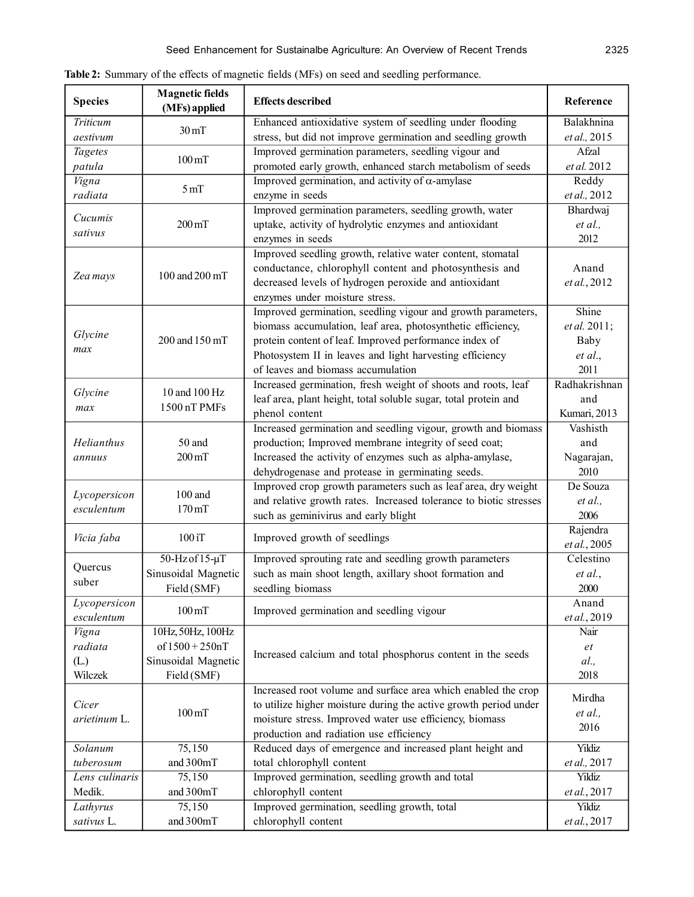| <b>Species</b>             | <b>Magnetic fields</b><br>(MFs) applied | <b>Effects described</b>                                          | Reference                 |
|----------------------------|-----------------------------------------|-------------------------------------------------------------------|---------------------------|
| Triticum                   | $30 \,\mathrm{mT}$                      | Enhanced antioxidative system of seedling under flooding          | Balakhnina                |
| aestivum                   |                                         | stress, but did not improve germination and seedling growth       | et al., 2015              |
| <b>Tagetes</b>             | $100 \,\mathrm{mT}$                     | Improved germination parameters, seedling vigour and              | Afzal                     |
| patula                     |                                         | promoted early growth, enhanced starch metabolism of seeds        | et al. 2012               |
| Vigna                      | 5 <sub>mT</sub>                         | Improved germination, and activity of $\alpha$ -amylase           | Reddy                     |
| radiata                    |                                         | enzyme in seeds                                                   | et al., 2012              |
| Cucumis                    |                                         | Improved germination parameters, seedling growth, water           | Bhardwaj                  |
| sativus                    | $200 \,\mathrm{mT}$                     | uptake, activity of hydrolytic enzymes and antioxidant            | et al.,                   |
|                            |                                         | enzymes in seeds                                                  | 2012                      |
| Zea mays                   | 100 and 200 mT                          | Improved seedling growth, relative water content, stomatal        |                           |
|                            |                                         | conductance, chlorophyll content and photosynthesis and           | Anand                     |
|                            |                                         | decreased levels of hydrogen peroxide and antioxidant             | et al., 2012              |
|                            |                                         | enzymes under moisture stress.                                    |                           |
|                            |                                         | Improved germination, seedling vigour and growth parameters,      | Shine                     |
| Glycine<br>max             | 200 and 150 mT                          | biomass accumulation, leaf area, photosynthetic efficiency,       | et al. 2011;              |
|                            |                                         | protein content of leaf. Improved performance index of            | Baby                      |
|                            |                                         | Photosystem II in leaves and light harvesting efficiency          | et al.,                   |
|                            |                                         | of leaves and biomass accumulation                                | 2011                      |
| Glycine                    | 10 and 100 Hz                           | Increased germination, fresh weight of shoots and roots, leaf     | Radhakrishnan             |
| max                        | 1500 nT PMFs                            | leaf area, plant height, total soluble sugar, total protein and   | and                       |
|                            |                                         | phenol content                                                    | Kumari, 2013              |
|                            |                                         | Increased germination and seedling vigour, growth and biomass     | Vashisth                  |
| Helianthus                 | 50 and<br>$200 \,\mathrm{mT}$           | production; Improved membrane integrity of seed coat;             | and                       |
| annuus                     |                                         | Increased the activity of enzymes such as alpha-amylase,          | Nagarajan,                |
|                            |                                         | dehydrogenase and protease in germinating seeds.                  | 2010                      |
| Lycopersicon               | $100$ and<br>$170 \,\mathrm{mT}$        | Improved crop growth parameters such as leaf area, dry weight     | De Souza                  |
| esculentum                 |                                         | and relative growth rates. Increased tolerance to biotic stresses | et al.,                   |
|                            |                                         | such as geminivirus and early blight                              | 2006                      |
| Vicia faba                 | 100 iT                                  | Improved growth of seedlings                                      | Rajendra                  |
|                            |                                         |                                                                   | et al., 2005<br>Celestino |
| Quercus                    | $50 - Hz$ of $15 - \mu T$               | Improved sprouting rate and seedling growth parameters            |                           |
| suber                      | Sinusoidal Magnetic                     | such as main shoot length, axillary shoot formation and           | et al.,                   |
|                            | Field (SMF)                             | seedling biomass                                                  | 2000<br>Anand             |
| Lycopersicon<br>esculentum | $100 \,\mathrm{mT}$                     | Improved germination and seedling vigour                          | et al., 2019              |
| Vigna                      | 10Hz, 50Hz, 100Hz                       |                                                                   | Nair                      |
| radiata                    | $of 1500 + 250nT$                       |                                                                   | et                        |
| (L)                        | Sinusoidal Magnetic                     | Increased calcium and total phosphorus content in the seeds       | al.,                      |
| Wilczek                    | Field (SMF)                             |                                                                   | 2018                      |
|                            |                                         | Increased root volume and surface area which enabled the crop     |                           |
| Cicer                      |                                         | to utilize higher moisture during the active growth period under  | Mirdha                    |
| arietinum L.               | $100 \,\mathrm{mT}$                     | moisture stress. Improved water use efficiency, biomass           | et al.,                   |
|                            |                                         | production and radiation use efficiency                           | 2016                      |
| Solanum                    | 75,150                                  | Reduced days of emergence and increased plant height and          | Yildiz                    |
| tuberosum                  | and 300mT                               | total chlorophyll content                                         | et al., 2017              |
| Lens culinaris             | 75,150                                  | Improved germination, seedling growth and total                   | Yildiz                    |
| Medik.                     | and 300mT                               | chlorophyll content                                               | et al., 2017              |
| Lathyrus                   | 75,150                                  | Improved germination, seedling growth, total                      | Yildiz                    |
| sativus L.                 | and 300mT                               | chlorophyll content                                               | et al., 2017              |

**Table 2:** Summary of the effects of magnetic fields (MFs) on seed and seedling performance.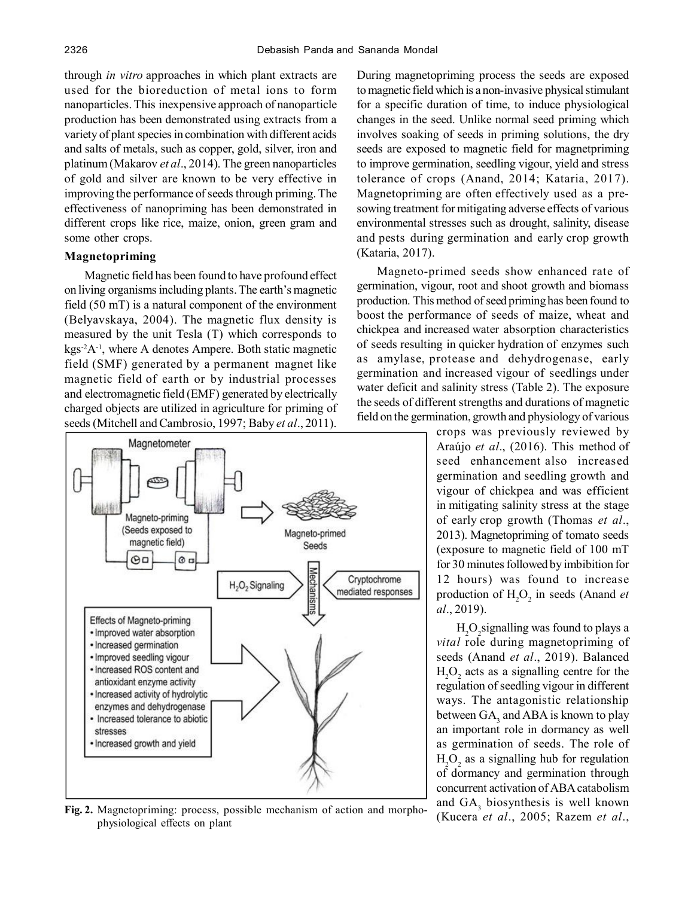through *in vitro* approaches in which plant extracts are used for the bioreduction of metal ions to form nanoparticles. This inexpensive approach of nanoparticle production has been demonstrated using extracts from a variety of plant species in combination with different acids and salts of metals, such as copper, gold, silver, iron and platinum (Makarov *et al*., 2014). The green nanoparticles of gold and silver are known to be very effective in improving the performance of seeds through priming. The effectiveness of nanopriming has been demonstrated in different crops like rice, maize, onion, green gram and some other crops.

# **Magnetopriming**

Magnetic field has been found to have profound effect on living organisms including plants. The earth's magnetic field (50 mT) is a natural component of the environment (Belyavskaya, 2004). The magnetic flux density is measured by the unit Tesla (T) which corresponds to  $kgs<sup>-2</sup>A<sup>-1</sup>$ , where A denotes Ampere. Both static magnetic field (SMF) generated by a permanent magnet like magnetic field of earth or by industrial processes and electromagnetic field (EMF) generated by electrically charged objects are utilized in agriculture for priming of seeds (Mitchell and Cambrosio, 1997; Baby *et al*., 2011).



**Fig. 2.** Magnetopriming: process, possible mechanism of action and morphophysiological effects on plant

During magnetopriming process the seeds are exposed to magnetic field which is a non-invasive physical stimulant for a specific duration of time, to induce physiological changes in the seed. Unlike normal seed priming which involves soaking of seeds in priming solutions, the dry seeds are exposed to magnetic field for magnetpriming to improve germination, seedling vigour, yield and stress tolerance of crops (Anand, 2014; Kataria, 2017). Magnetopriming are often effectively used as a presowing treatment for mitigating adverse effects of various environmental stresses such as drought, salinity, disease and pests during germination and early crop growth (Kataria, 2017).

Magneto-primed seeds show enhanced rate of germination, vigour, root and shoot growth and biomass production. This method of seed priming has been found to boost the performance of seeds of maize, wheat and chickpea and increased water absorption characteristics of seeds resulting in quicker hydration of enzymes such as amylase, protease and dehydrogenase, early germination and increased vigour of seedlings under water deficit and salinity stress (Table 2). The exposure the seeds of different strengths and durations of magnetic field on the germination, growth and physiology of various

> crops was previously reviewed by Araújo *et al*., (2016). This method of seed enhancement also increased germination and seedling growth and vigour of chickpea and was efficient in mitigating salinity stress at the stage of early crop growth (Thomas *et al*., 2013). Magnetopriming of tomato seeds (exposure to magnetic field of 100 mT for 30 minutes followed by imbibition for 12 hours) was found to increase production of  $H_2O_2$  in seeds (Anand *et al*., 2019).

> $H_2O_2$ signalling was found to plays a *vital* role during magnetopriming of seeds (Anand *et al*., 2019). Balanced  $H_2O_2$  acts as a signalling centre for the regulation of seedling vigour in different ways. The antagonistic relationship between  $\text{GA}_3$  and ABA is known to play an important role in dormancy as well as germination of seeds. The role of  $H_2O_2$  as a signalling hub for regulation of dormancy and germination through concurrent activation of ABA catabolism and  $GA_3$  biosynthesis is well known (Kucera *et al*., 2005; Razem *et al*.,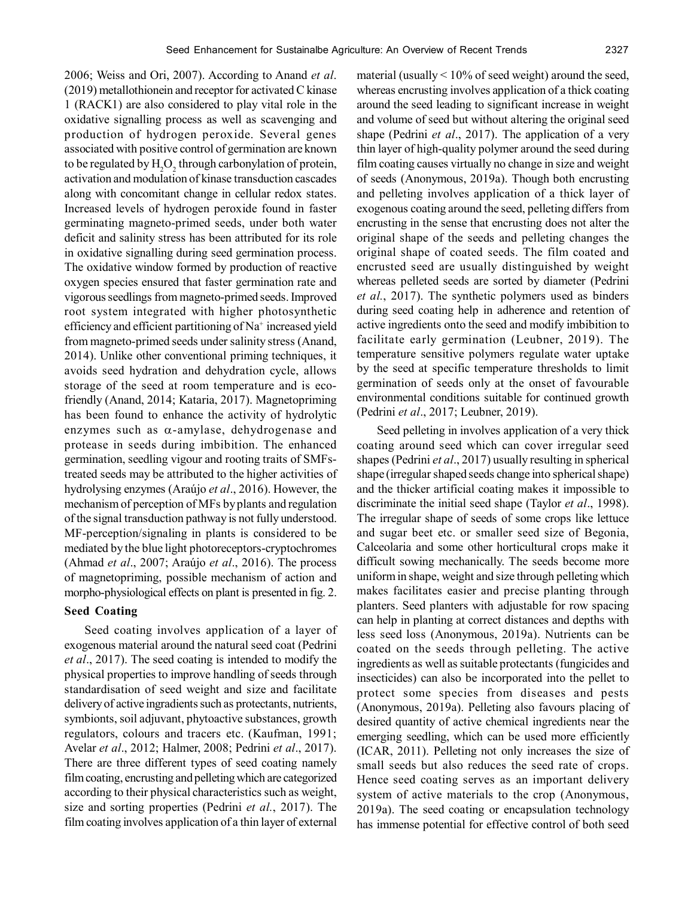2006; Weiss and Ori, 2007). According to Anand *et al*. (2019) metallothionein and receptor for activated C kinase 1 (RACK1) are also considered to play vital role in the oxidative signalling process as well as scavenging and production of hydrogen peroxide. Several genes associated with positive control of germination are known to be regulated by  $\mathrm{H}_{2}\mathrm{O}_{2}$  through carbonylation of protein, activation and modulation of kinase transduction cascades along with concomitant change in cellular redox states. Increased levels of hydrogen peroxide found in faster germinating magneto-primed seeds, under both water deficit and salinity stress has been attributed for its role in oxidative signalling during seed germination process. The oxidative window formed by production of reactive oxygen species ensured that faster germination rate and vigorous seedlings from magneto-primed seeds. Improved root system integrated with higher photosynthetic efficiency and efficient partitioning of Na<sup>+</sup> increased yield from magneto-primed seeds under salinity stress (Anand, 2014). Unlike other conventional priming techniques, it avoids seed hydration and dehydration cycle, allows storage of the seed at room temperature and is ecofriendly (Anand, 2014; Kataria, 2017). Magnetopriming has been found to enhance the activity of hydrolytic enzymes such as  $\alpha$ -amylase, dehydrogenase and protease in seeds during imbibition. The enhanced germination, seedling vigour and rooting traits of SMFstreated seeds may be attributed to the higher activities of hydrolysing enzymes (Araújo *et al*., 2016). However, the mechanism of perception of MFs by plants and regulation of the signal transduction pathway is not fully understood. MF-perception/signaling in plants is considered to be mediated by the blue light photoreceptors-cryptochromes (Ahmad *et al*., 2007; Araújo *et al*., 2016). The process of magnetopriming, possible mechanism of action and morpho-physiological effects on plant is presented in fig. 2.

# **Seed Coating**

Seed coating involves application of a layer of exogenous material around the natural seed coat (Pedrini *et al*., 2017). The seed coating is intended to modify the physical properties to improve handling of seeds through standardisation of seed weight and size and facilitate delivery of active ingradients such as protectants, nutrients, symbionts, soil adjuvant, phytoactive substances, growth regulators, colours and tracers etc. (Kaufman, 1991; Avelar *et al*., 2012; Halmer, 2008; Pedrini *et al*., 2017). There are three different types of seed coating namely film coating, encrusting and pelleting which are categorized according to their physical characteristics such as weight, size and sorting properties (Pedrini *et al.*, 2017). The film coating involves application of a thin layer of external

material (usually  $\leq 10\%$  of seed weight) around the seed, whereas encrusting involves application of a thick coating around the seed leading to significant increase in weight and volume of seed but without altering the original seed shape (Pedrini *et al*., 2017). The application of a very thin layer of high-quality polymer around the seed during film coating causes virtually no change in size and weight of seeds (Anonymous, 2019a). Though both encrusting and pelleting involves application of a thick layer of exogenous coating around the seed, pelleting differs from encrusting in the sense that encrusting does not alter the original shape of the seeds and pelleting changes the original shape of coated seeds. The film coated and encrusted seed are usually distinguished by weight whereas pelleted seeds are sorted by diameter (Pedrini *et al.*, 2017). The synthetic polymers used as binders during seed coating help in adherence and retention of active ingredients onto the seed and modify imbibition to facilitate early germination (Leubner, 2019). The temperature sensitive polymers regulate water uptake by the seed at specific temperature thresholds to limit germination of seeds only at the onset of favourable environmental conditions suitable for continued growth (Pedrini *et al*., 2017; Leubner, 2019).

Seed pelleting in involves application of a very thick coating around seed which can cover irregular seed shapes (Pedrini *et al*., 2017) usually resulting in spherical shape (irregular shaped seeds change into spherical shape) and the thicker artificial coating makes it impossible to discriminate the initial seed shape (Taylor *et al*., 1998). The irregular shape of seeds of some crops like lettuce and sugar beet etc. or smaller seed size of Begonia, Calceolaria and some other horticultural crops make it difficult sowing mechanically. The seeds become more uniform in shape, weight and size through pelleting which makes facilitates easier and precise planting through planters. Seed planters with adjustable for row spacing can help in planting at correct distances and depths with less seed loss (Anonymous, 2019a). Nutrients can be coated on the seeds through pelleting. The active ingredients as well as suitable protectants (fungicides and insecticides) can also be incorporated into the pellet to protect some species from diseases and pests (Anonymous, 2019a). Pelleting also favours placing of desired quantity of active chemical ingredients near the emerging seedling, which can be used more efficiently (ICAR, 2011). Pelleting not only increases the size of small seeds but also reduces the seed rate of crops. Hence seed coating serves as an important delivery system of active materials to the crop (Anonymous, 2019a). The seed coating or encapsulation technology has immense potential for effective control of both seed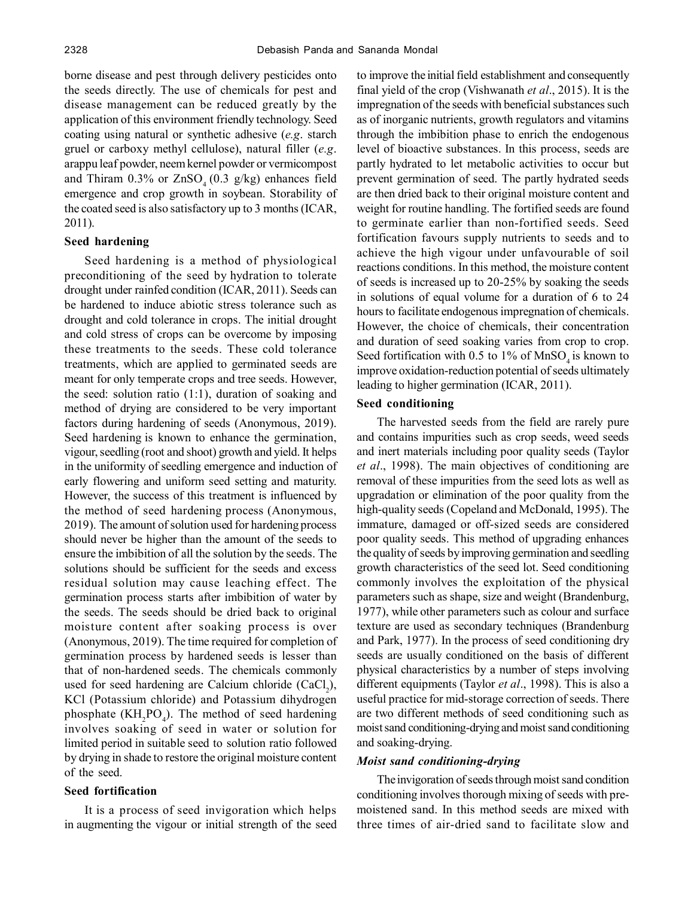borne disease and pest through delivery pesticides onto the seeds directly. The use of chemicals for pest and disease management can be reduced greatly by the application of this environment friendly technology. Seed coating using natural or synthetic adhesive (*e.g*. starch gruel or carboxy methyl cellulose), natural filler (*e.g*. arappu leaf powder, neem kernel powder or vermicompost and Thiram 0.3% or  $ZnSO_4(0.3 \text{ g/kg})$  enhances field emergence and crop growth in soybean. Storability of the coated seed is also satisfactory up to 3 months (ICAR, 2011).

## **Seed hardening**

Seed hardening is a method of physiological preconditioning of the seed by hydration to tolerate drought under rainfed condition (ICAR, 2011). Seeds can be hardened to induce abiotic stress tolerance such as drought and cold tolerance in crops. The initial drought and cold stress of crops can be overcome by imposing these treatments to the seeds. These cold tolerance treatments, which are applied to germinated seeds are meant for only temperate crops and tree seeds. However, the seed: solution ratio (1:1), duration of soaking and method of drying are considered to be very important factors during hardening of seeds (Anonymous, 2019). Seed hardening is known to enhance the germination, vigour, seedling (root and shoot) growth and yield. It helps in the uniformity of seedling emergence and induction of early flowering and uniform seed setting and maturity. However, the success of this treatment is influenced by the method of seed hardening process (Anonymous, 2019). The amount of solution used for hardening process should never be higher than the amount of the seeds to ensure the imbibition of all the solution by the seeds. The solutions should be sufficient for the seeds and excess residual solution may cause leaching effect. The germination process starts after imbibition of water by the seeds. The seeds should be dried back to original moisture content after soaking process is over (Anonymous, 2019). The time required for completion of germination process by hardened seeds is lesser than that of non-hardened seeds. The chemicals commonly used for seed hardening are Calcium chloride  $(CaCl<sub>2</sub>)$ , KCl (Potassium chloride) and Potassium dihydrogen phosphate  $(KH_2PO_4)$ . The method of seed hardening involves soaking of seed in water or solution for limited period in suitable seed to solution ratio followed by drying in shade to restore the original moisture content of the seed.

#### **Seed fortification**

It is a process of seed invigoration which helps in augmenting the vigour or initial strength of the seed to improve the initial field establishment and consequently final yield of the crop (Vishwanath *et al*., 2015). It is the impregnation of the seeds with beneficial substances such as of inorganic nutrients, growth regulators and vitamins through the imbibition phase to enrich the endogenous level of bioactive substances. In this process, seeds are partly hydrated to let metabolic activities to occur but prevent germination of seed. The partly hydrated seeds are then dried back to their original moisture content and weight for routine handling. The fortified seeds are found to germinate earlier than non-fortified seeds. Seed fortification favours supply nutrients to seeds and to achieve the high vigour under unfavourable of soil reactions conditions. In this method, the moisture content of seeds is increased up to 20-25% by soaking the seeds in solutions of equal volume for a duration of 6 to 24 hours to facilitate endogenous impregnation of chemicals. However, the choice of chemicals, their concentration and duration of seed soaking varies from crop to crop. Seed fortification with 0.5 to 1% of  $MnSO<sub>4</sub>$  is known to improve oxidation-reduction potential of seeds ultimately leading to higher germination (ICAR, 2011).

## **Seed conditioning**

The harvested seeds from the field are rarely pure and contains impurities such as crop seeds, weed seeds and inert materials including poor quality seeds (Taylor *et al*., 1998). The main objectives of conditioning are removal of these impurities from the seed lots as well as upgradation or elimination of the poor quality from the high-quality seeds (Copeland and McDonald, 1995). The immature, damaged or off-sized seeds are considered poor quality seeds. This method of upgrading enhances the quality of seeds by improving germination and seedling growth characteristics of the seed lot. Seed conditioning commonly involves the exploitation of the physical parameters such as shape, size and weight (Brandenburg, 1977), while other parameters such as colour and surface texture are used as secondary techniques (Brandenburg and Park, 1977). In the process of seed conditioning dry seeds are usually conditioned on the basis of different physical characteristics by a number of steps involving different equipments (Taylor *et al*., 1998). This is also a useful practice for mid-storage correction of seeds. There are two different methods of seed conditioning such as moist sand conditioning-drying and moist sand conditioning and soaking-drying.

## *Moist sand conditioning-drying*

The invigoration of seeds through moist sand condition conditioning involves thorough mixing of seeds with premoistened sand. In this method seeds are mixed with three times of air-dried sand to facilitate slow and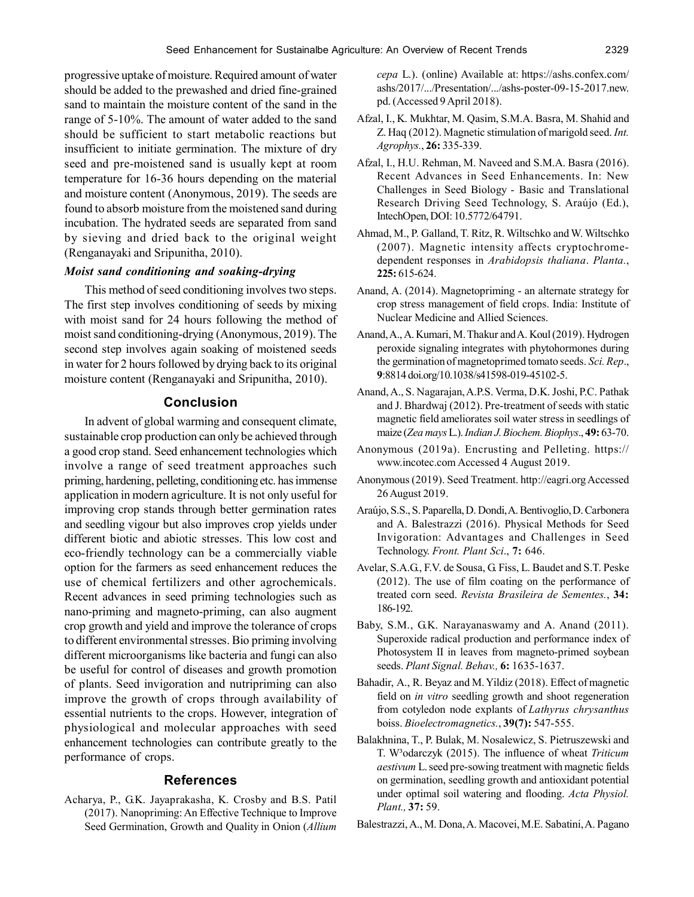progressive uptake of moisture. Required amount of water should be added to the prewashed and dried fine-grained sand to maintain the moisture content of the sand in the range of 5-10%. The amount of water added to the sand should be sufficient to start metabolic reactions but insufficient to initiate germination. The mixture of dry seed and pre-moistened sand is usually kept at room temperature for 16-36 hours depending on the material and moisture content (Anonymous, 2019). The seeds are found to absorb moisture from the moistened sand during incubation. The hydrated seeds are separated from sand by sieving and dried back to the original weight (Renganayaki and Sripunitha, 2010).

## *Moist sand conditioning and soaking-drying*

This method of seed conditioning involves two steps. The first step involves conditioning of seeds by mixing with moist sand for 24 hours following the method of moist sand conditioning-drying (Anonymous, 2019). The second step involves again soaking of moistened seeds in water for 2 hours followed by drying back to its original moisture content (Renganayaki and Sripunitha, 2010).

# **Conclusion**

In advent of global warming and consequent climate, sustainable crop production can only be achieved through a good crop stand. Seed enhancement technologies which involve a range of seed treatment approaches such priming, hardening, pelleting, conditioning etc. has immense application in modern agriculture. It is not only useful for improving crop stands through better germination rates and seedling vigour but also improves crop yields under different biotic and abiotic stresses. This low cost and eco-friendly technology can be a commercially viable option for the farmers as seed enhancement reduces the use of chemical fertilizers and other agrochemicals. Recent advances in seed priming technologies such as nano-priming and magneto-priming, can also augment crop growth and yield and improve the tolerance of crops to different environmental stresses. Bio priming involving different microorganisms like bacteria and fungi can also be useful for control of diseases and growth promotion of plants. Seed invigoration and nutripriming can also improve the growth of crops through availability of essential nutrients to the crops. However, integration of physiological and molecular approaches with seed enhancement technologies can contribute greatly to the performance of crops.

## **References**

Acharya, P., G.K. Jayaprakasha, K. Crosby and B.S. Patil (2017). Nanopriming: An Effective Technique to Improve Seed Germination, Growth and Quality in Onion (*Allium* *cepa* L.). (online) Available at: https://ashs.confex.com/ ashs/2017/.../Presentation/.../ashs-poster-09-15-2017.new. pd. (Accessed 9 April 2018).

- Afzal, I., K. Mukhtar, M. Qasim, S.M.A. Basra, M. Shahid and Z. Haq (2012). Magnetic stimulation of marigold seed. *Int. Agrophys.*, **26:** 335-339.
- Afzal, I., H.U. Rehman, M. Naveed and S.M.A. Basra (2016). Recent Advances in Seed Enhancements. In: New Challenges in Seed Biology - Basic and Translational Research Driving Seed Technology, S. Araújo (Ed.), IntechOpen, DOI: 10.5772/64791.
- Ahmad, M., P. Galland, T. Ritz, R. Wiltschko and W. Wiltschko (2007). Magnetic intensity affects cryptochromedependent responses in *Arabidopsis thaliana*. *Planta.*, **225:** 615-624.
- Anand, A. (2014). Magnetopriming an alternate strategy for crop stress management of field crops. India: Institute of Nuclear Medicine and Allied Sciences.
- Anand, A., A. Kumari, M. Thakur and A. Koul (2019). Hydrogen peroxide signaling integrates with phytohormones during the germination of magnetoprimed tomato seeds. *Sci. Rep*., **9**:8814 doi.org/10.1038/s41598-019-45102-5.
- Anand, A., S. Nagarajan, A.P.S. Verma, D.K. Joshi, P.C. Pathak and J. Bhardwaj (2012). Pre-treatment of seeds with static magnetic field ameliorates soil water stress in seedlings of maize (*Zea mays* L.). *Indian J. Biochem. Biophys*., **49:** 63-70.
- Anonymous (2019a). Encrusting and Pelleting. https:// www.incotec.com Accessed 4 August 2019.
- Anonymous (2019). Seed Treatment. http://eagri.org Accessed 26 August 2019.
- Araújo, S.S., S. Paparella, D. Dondi, A. Bentivoglio, D. Carbonera and A. Balestrazzi (2016). Physical Methods for Seed Invigoration: Advantages and Challenges in Seed Technology. *Front. Plant Sci*., **7:** 646.
- Avelar, S.A.G., F.V. de Sousa, G. Fiss, L. Baudet and S.T. Peske (2012). The use of film coating on the performance of treated corn seed. *Revista Brasileira de Sementes.*, **34:** 186-192.
- Baby, S.M., G.K. Narayanaswamy and A. Anand (2011). Superoxide radical production and performance index of Photosystem II in leaves from magneto-primed soybean seeds. *Plant Signal. Behav.,* **6:** 1635-1637.
- Bahadir, A., R. Beyaz and M. Yildiz (2018). Effect of magnetic field on *in vitro* seedling growth and shoot regeneration from cotyledon node explants of *Lathyrus chrysanthus* boiss. *Bioelectromagnetics.*, **39(7):** 547-555.
- Balakhnina, T., P. Bulak, M. Nosalewicz, S. Pietruszewski and T. W³odarczyk (2015). The influence of wheat *Triticum aestivum* L. seed pre-sowing treatment with magnetic fields on germination, seedling growth and antioxidant potential under optimal soil watering and flooding. *Acta Physiol. Plant.,* **37:** 59.
- Balestrazzi, A., M. Dona, A. Macovei, M.E. Sabatini, A. Pagano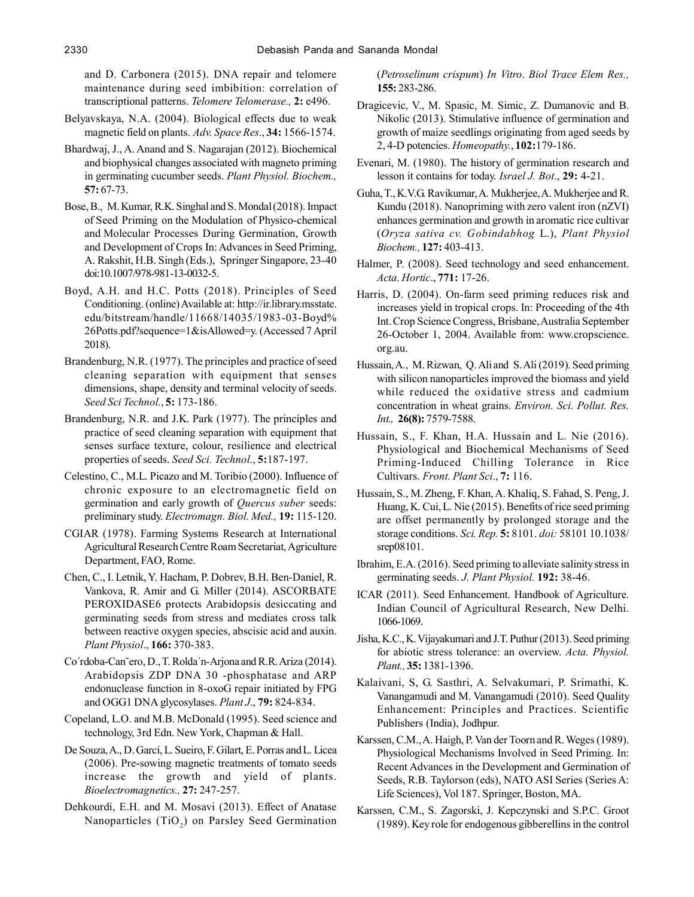and D. Carbonera (2015). DNA repair and telomere maintenance during seed imbibition: correlation of transcriptional patterns. *Telomere Telomerase.,* **2:** e496.

- Belyavskaya, N.A. (2004). Biological effects due to weak magnetic field on plants. *Adv. Space Res*., **34:** 1566-1574.
- Bhardwaj, J., A. Anand and S. Nagarajan (2012). Biochemical and biophysical changes associated with magneto priming in germinating cucumber seeds. *Plant Physiol. Biochem.,* **57:** 67-73.
- Bose, B., M. Kumar, R.K. Singhal and S. Mondal (2018). Impact of Seed Priming on the Modulation of Physico-chemical and Molecular Processes During Germination, Growth and Development of Crops In: Advances in Seed Priming, A. Rakshit, H.B. Singh (Eds.), Springer Singapore, 23-40 doi:10.1007/978-981-13-0032-5.
- Boyd, A.H. and H.C. Potts (2018). Principles of Seed Conditioning. (online) Available at: http://ir.library.msstate. edu/bitstream/handle/11668/14035/1983-03-Boyd% 26Potts.pdf?sequence=1&isAllowed=y. (Accessed 7 April 2018).
- Brandenburg, N.R. (1977). The principles and practice of seed cleaning separation with equipment that senses dimensions, shape, density and terminal velocity of seeds. *Seed Sci Technol.*, **5:** 173-186.
- Brandenburg, N.R. and J.K. Park (1977). The principles and practice of seed cleaning separation with equipment that senses surface texture, colour, resilience and electrical properties of seeds. *Seed Sci. Technol*., **5:**187-197.
- Celestino, C., M.L. Picazo and M. Toribio (2000). Influence of chronic exposure to an electromagnetic field on germination and early growth of *Quercus suber* seeds: preliminary study. *Electromagn. Biol. Med.,* **19:** 115-120.
- CGIAR (1978). Farming Systems Research at International Agricultural Research Centre Roam Secretariat, Agriculture Department, FAO, Rome.
- Chen, C., I. Letnik, Y. Hacham, P. Dobrev, B.H. Ben-Daniel, R. Vankova, R. Amir and G. Miller (2014). ASCORBATE PEROXIDASE6 protects Arabidopsis desiccating and germinating seeds from stress and mediates cross talk between reactive oxygen species, abscisic acid and auxin. *Plant Physiol*., **166:** 370-383.
- Co´rdoba-Can˜ero, D., T. Rolda´n-Arjona and R.R. Ariza (2014). Arabidopsis ZDP DNA 30 -phosphatase and ARP endonuclease function in 8-oxoG repair initiated by FPG and OGG1 DNA glycosylases. *Plant J*., **79:** 824-834.
- Copeland, L.O. and M.B. McDonald (1995). Seed science and technology, 3rd Edn. New York, Chapman & Hall.
- De Souza, A., D. Garcí, L. Sueiro, F. Gilart, E. Porras and L. Licea (2006). Pre-sowing magnetic treatments of tomato seeds increase the growth and yield of plants. *Bioelectromagnetics.,* **27:** 247-257.
- Dehkourdi, E.H. and M. Mosavi (2013). Effect of Anatase Nanoparticles  $(TiO_2)$  on Parsley Seed Germination

(*Petroselinum crispum*) *In Vitro*. *Biol Trace Elem Res.,* **155:** 283-286.

- Dragicevic, V., M. Spasic, M. Simic, Z. Dumanovic and B. Nikolic (2013). Stimulative influence of germination and growth of maize seedlings originating from aged seeds by 2, 4-D potencies. *Homeopathy.*, **102:**179-186.
- Evenari, M. (1980). The history of germination research and lesson it contains for today. *Israel J. Bot*., **29:** 4-21.
- Guha, T., K.V.G. Ravikumar, A. Mukherjee, A. Mukherjee and R. Kundu (2018). Nanopriming with zero valent iron (nZVI) enhances germination and growth in aromatic rice cultivar (*Oryza sativa cv. Gobindabhog* L.), *Plant Physiol Biochem.,* **127:** 403-413.
- Halmer, P. (2008). Seed technology and seed enhancement. *Acta. Hortic*., **771:** 17-26.
- Harris, D. (2004). On-farm seed priming reduces risk and increases yield in tropical crops. In: Proceeding of the 4th Int. Crop Science Congress, Brisbane, Australia September 26-October 1, 2004. Available from: www.cropscience. org.au.
- Hussain, A., M. Rizwan, Q. Ali and S. Ali (2019). Seed priming with silicon nanoparticles improved the biomass and yield while reduced the oxidative stress and cadmium concentration in wheat grains. *Environ. Sci. Pollut. Res. Int.,* **26(8):** 7579-7588.
- Hussain, S., F. Khan, H.A. Hussain and L. Nie (2016). Physiological and Biochemical Mechanisms of Seed Priming-Induced Chilling Tolerance in Rice Cultivars. *Front. Plant Sci*., **7:** 116.
- Hussain, S., M. Zheng, F. Khan, A. Khaliq, S. Fahad, S. Peng, J. Huang, K. Cui, L. Nie (2015). Benefits of rice seed priming are offset permanently by prolonged storage and the storage conditions. *Sci. Rep.* **5:** 8101. *doi:* 58101 10.1038/ srep08101.
- Ibrahim, E.A. (2016). Seed priming to alleviate salinity stress in germinating seeds. *J. Plant Physiol.* **192:** 38-46.
- ICAR (2011). Seed Enhancement. Handbook of Agriculture. Indian Council of Agricultural Research, New Delhi. 1066-1069.
- Jisha, K.C., K. Vijayakumari and J.T. Puthur (2013). Seed priming for abiotic stress tolerance: an overview. *Acta. Physiol. Plant.,* **35:** 1381-1396.
- Kalaivani, S, G. Sasthri, A. Selvakumari, P. Srimathi, K. Vanangamudi and M. Vanangamudi (2010). Seed Quality Enhancement: Principles and Practices. Scientific Publishers (India), Jodhpur.
- Karssen, C.M., A. Haigh, P. Van der Toorn and R. Weges (1989). Physiological Mechanisms Involved in Seed Priming. In: Recent Advances in the Development and Germination of Seeds, R.B. Taylorson (eds), NATO ASI Series (Series A: Life Sciences), Vol 187. Springer, Boston, MA.
- Karssen, C.M., S. Zagorski, J. Kepczynski and S.P.C. Groot (1989). Key role for endogenous gibberellins in the control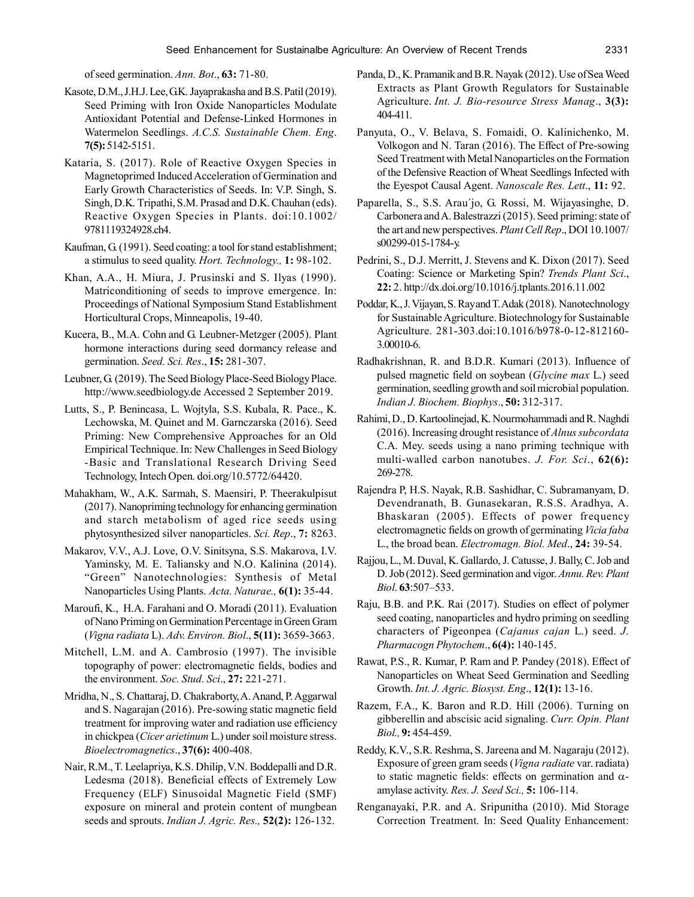of seed germination. *Ann. Bot*., **63:** 71-80.

- Kasote, D.M., J.H.J. Lee, G.K. Jayaprakasha and B.S. Patil (2019). Seed Priming with Iron Oxide Nanoparticles Modulate Antioxidant Potential and Defense-Linked Hormones in Watermelon Seedlings. *A.C.S. Sustainable Chem. Eng*. **7(5):** 5142-5151.
- Kataria, S. (2017). Role of Reactive Oxygen Species in Magnetoprimed Induced Acceleration of Germination and Early Growth Characteristics of Seeds. In: V.P. Singh, S. Singh, D.K. Tripathi, S.M. Prasad and D.K. Chauhan (eds). Reactive Oxygen Species in Plants. doi:10.1002/ 9781119324928.ch4.
- Kaufman, G. (1991). Seed coating: a tool for stand establishment; a stimulus to seed quality. *Hort. Technology.,* **1:** 98-102.
- Khan, A.A., H. Miura, J. Prusinski and S. Ilyas (1990). Matriconditioning of seeds to improve emergence. In: Proceedings of National Symposium Stand Establishment Horticultural Crops, Minneapolis, 19-40.
- Kucera, B., M.A. Cohn and G. Leubner-Metzger (2005). Plant hormone interactions during seed dormancy release and germination. *Seed. Sci. Res*., **15:** 281-307.
- Leubner, G. (2019). The Seed Biology Place-Seed Biology Place. http://www.seedbiology.de Accessed 2 September 2019.
- Lutts, S., P. Benincasa, L. Wojtyla, S.S. Kubala, R. Pace., K. Lechowska, M. Quinet and M. Garnczarska (2016). Seed Priming: New Comprehensive Approaches for an Old Empirical Technique. In: New Challenges in Seed Biology -Basic and Translational Research Driving Seed Technology, Intech Open. doi.org/10.5772/64420.
- Mahakham, W., A.K. Sarmah, S. Maensiri, P. Theerakulpisut (2017). Nanopriming technology for enhancing germination and starch metabolism of aged rice seeds using phytosynthesized silver nanoparticles. *Sci. Rep*., **7:** 8263.
- Makarov, V.V., A.J. Love, O.V. Sinitsyna, S.S. Makarova, I.V. Yaminsky, M. E. Taliansky and N.O. Kalinina (2014). "Green" Nanotechnologies: Synthesis of Metal Nanoparticles Using Plants. *Acta. Naturae.,* **6(1):** 35-44.
- Maroufi, K., H.A. Farahani and O. Moradi (2011). Evaluation of Nano Priming on Germination Percentage in Green Gram (*Vigna radiata* L). *Adv. Environ. Biol*., **5(11):** 3659-3663.
- Mitchell, L.M. and A. Cambrosio (1997). The invisible topography of power: electromagnetic fields, bodies and the environment. *Soc. Stud. Sci*., **27:** 221-271.
- Mridha, N., S. Chattaraj, D. Chakraborty, A. Anand, P. Aggarwal and S. Nagarajan (2016). Pre-sowing static magnetic field treatment for improving water and radiation use efficiency in chickpea (*Cicer arietinum* L.) under soil moisture stress. *Bioelectromagnetics*., **37(6):** 400-408.
- Nair, R.M., T. Leelapriya, K.S. Dhilip, V.N. Boddepalli and D.R. Ledesma (2018). Beneficial effects of Extremely Low Frequency (ELF) Sinusoidal Magnetic Field (SMF) exposure on mineral and protein content of mungbean seeds and sprouts. *Indian J. Agric. Res.,* **52(2):** 126-132.
- Panda, D., K. Pramanik and B.R. Nayak (2012). Use of Sea Weed Extracts as Plant Growth Regulators for Sustainable Agriculture. *Int. J. Bio-resource Stress Manag*., **3(3):** 404-411.
- Panyuta, O., V. Belava, S. Fomaidi, O. Kalinichenko, M. Volkogon and N. Taran (2016). The Effect of Pre-sowing Seed Treatment with Metal Nanoparticles on the Formation of the Defensive Reaction of Wheat Seedlings Infected with the Eyespot Causal Agent. *Nanoscale Res. Lett*., **11:** 92.
- Paparella, S., S.S. Arau´jo, G. Rossi, M. Wijayasinghe, D. Carbonera and A. Balestrazzi (2015). Seed priming: state of the art and new perspectives. *Plant Cell Rep*., DOI 10.1007/ s00299-015-1784-y.
- Pedrini, S., D.J. Merritt, J. Stevens and K. Dixon (2017). Seed Coating: Science or Marketing Spin? *Trends Plant Sci*., **22:** 2. http://dx.doi.org/10.1016/j.tplants.2016.11.002
- Poddar, K., J. Vijayan, S. Ray and T. Adak (2018). Nanotechnology for Sustainable Agriculture. Biotechnology for Sustainable Agriculture. 281-303.doi:10.1016/b978-0-12-812160- 3.00010-6.
- Radhakrishnan, R. and B.D.R. Kumari (2013). Influence of pulsed magnetic field on soybean (*Glycine max* L.) seed germination, seedling growth and soil microbial population. *Indian J. Biochem. Biophys*., **50:** 312-317.
- Rahimi, D., D. Kartoolinejad, K. Nourmohammadi and R. Naghdi (2016). Increasing drought resistance of *Alnus subcordata* C.A. Mey. seeds using a nano priming technique with multi-walled carbon nanotubes. *J. For. Sci*., **62(6):** 269-278.
- Rajendra P, H.S. Nayak, R.B. Sashidhar, C. Subramanyam, D. Devendranath, B. Gunasekaran, R.S.S. Aradhya, A. Bhaskaran (2005). Effects of power frequency electromagnetic fields on growth of germinating *Vicia faba* L., the broad bean. *Electromagn. Biol. Med*., **24:** 39-54.
- Rajjou, L., M. Duval, K. Gallardo, J. Catusse, J. Bally, C. Job and D. Job (2012). Seed germination and vigor. *Annu. Rev. Plant Biol*. **63**:507–533.
- Raju, B.B. and P.K. Rai (2017). Studies on effect of polymer seed coating, nanoparticles and hydro priming on seedling characters of Pigeonpea (*Cajanus cajan* L.) seed. *J. Pharmacogn Phytochem*., **6(4):** 140-145.
- Rawat, P.S., R. Kumar, P. Ram and P. Pandey (2018). Effect of Nanoparticles on Wheat Seed Germination and Seedling Growth. *Int. J. Agric. Biosyst. Eng*., **12(1):** 13-16.
- Razem, F.A., K. Baron and R.D. Hill (2006). Turning on gibberellin and abscisic acid signaling. *Curr. Opin. Plant Biol.,* **9:** 454-459.
- Reddy, K.V., S.R. Reshma, S. Jareena and M. Nagaraju (2012). Exposure of green gram seeds (*Vigna radiate* var. radiata) to static magnetic fields: effects on germination and  $\alpha$ amylase activity. *Res. J. Seed Sci.,* **5:** 106-114.
- Renganayaki, P.R. and A. Sripunitha (2010). Mid Storage Correction Treatment. In: Seed Quality Enhancement: